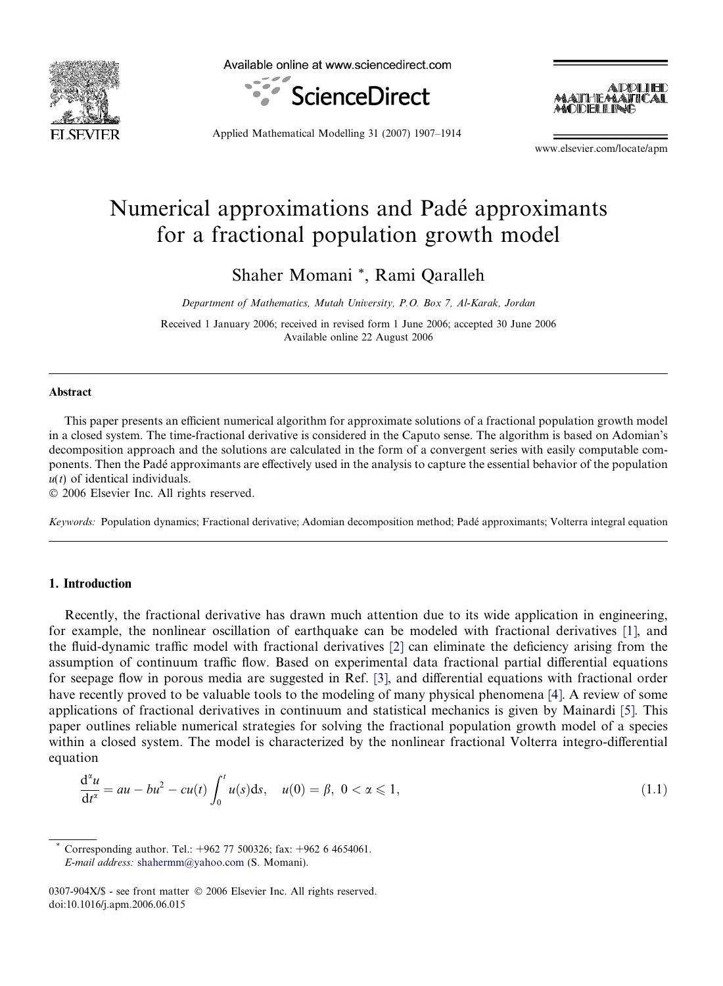

Available online at www.sciencedirect.com





Applied Mathematical Modelling 31 (2007) 1907–1914

www.elsevier.com/locate/apm

# Numerical approximations and Pade´ approximants for a fractional population growth model

Shaher Momani \*, Rami Qaralleh

Department of Mathematics, Mutah University, P.O. Box 7, Al-Karak, Jordan

Received 1 January 2006; received in revised form 1 June 2006; accepted 30 June 2006 Available online 22 August 2006

## Abstract

This paper presents an efficient numerical algorithm for approximate solutions of a fractional population growth model in a closed system. The time-fractional derivative is considered in the Caputo sense. The algorithm is based on Adomian's decomposition approach and the solutions are calculated in the form of a convergent series with easily computable components. Then the Pade´ approximants are effectively used in the analysis to capture the essential behavior of the population  $u(t)$  of identical individuals.

 $© 2006 Elsevier Inc. All rights reserved.$ 

Keywords: Population dynamics; Fractional derivative; Adomian decomposition method; Padé approximants; Volterra integral equation

### 1. Introduction

Recently, the fractional derivative has drawn much attention due to its wide application in engineering, for example, the nonlinear oscillation of earthquake can be modeled with fractional derivatives [1], and the fluid-dynamic traffic model with fractional derivatives [2] can eliminate the deficiency arising from the assumption of continuum traffic flow. Based on experimental data fractional partial differential equations for seepage flow in porous media are suggested in Ref. [3], and differential equations with fractional order have recently proved to be valuable tools to the modeling of many physical phenomena [4]. A review of some applications of fractional derivatives in continuum and statistical mechanics is given by Mainardi [5]. This paper outlines reliable numerical strategies for solving the fractional population growth model of a species within a closed system. The model is characterized by the nonlinear fractional Volterra integro-differential equation

$$
\frac{d^{\alpha}u}{dt^{\alpha}} = au - bu^{2} - cu(t) \int_{0}^{t} u(s)ds, \quad u(0) = \beta, \ 0 < \alpha \leq 1,\tag{1.1}
$$

Corresponding author. Tel.: +962 77 500326; fax: +962 6 4654061. E-mail address: shahermm@yahoo.com (S. Momani).

<sup>0307-904</sup>X/\$ - see front matter © 2006 Elsevier Inc. All rights reserved. doi:10.1016/j.apm.2006.06.015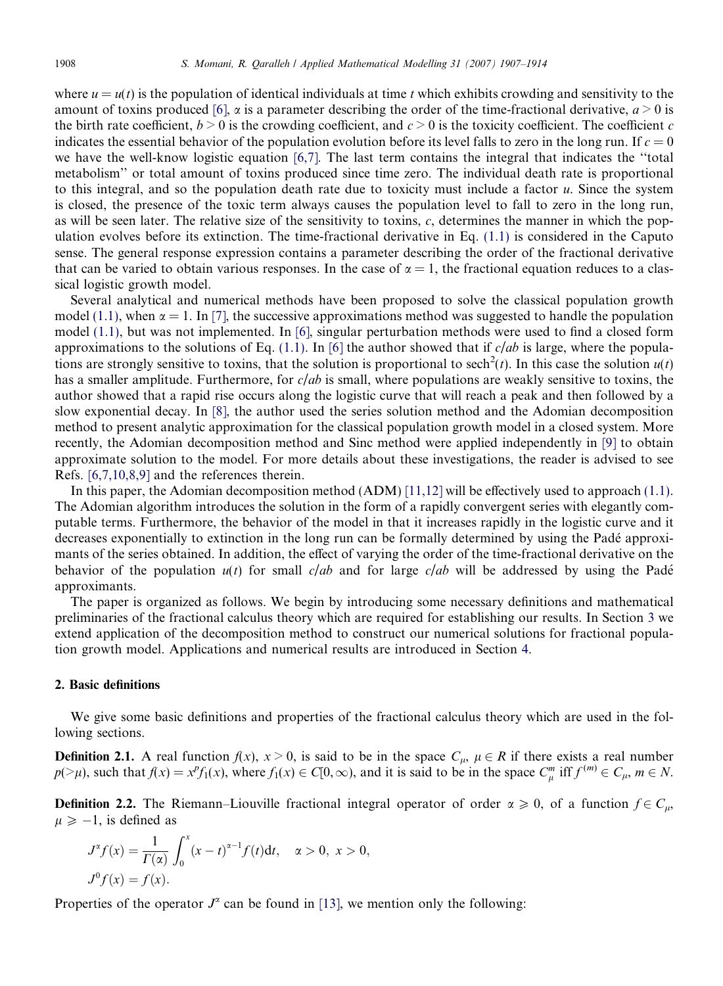where  $u = u(t)$  is the population of identical individuals at time t which exhibits crowding and sensitivity to the amount of toxins produced [6],  $\alpha$  is a parameter describing the order of the time-fractional derivative,  $a > 0$  is the birth rate coefficient,  $b > 0$  is the crowding coefficient, and  $c > 0$  is the toxicity coefficient. The coefficient c indicates the essential behavior of the population evolution before its level falls to zero in the long run. If  $c = 0$ we have the well-know logistic equation [6,7]. The last term contains the integral that indicates the ''total metabolism'' or total amount of toxins produced since time zero. The individual death rate is proportional to this integral, and so the population death rate due to toxicity must include a factor  $u$ . Since the system is closed, the presence of the toxic term always causes the population level to fall to zero in the long run, as will be seen later. The relative size of the sensitivity to toxins,  $c$ , determines the manner in which the population evolves before its extinction. The time-fractional derivative in Eq. (1.1) is considered in the Caputo sense. The general response expression contains a parameter describing the order of the fractional derivative that can be varied to obtain various responses. In the case of  $\alpha = 1$ , the fractional equation reduces to a classical logistic growth model.

Several analytical and numerical methods have been proposed to solve the classical population growth model (1.1), when  $\alpha = 1$ . In [7], the successive approximations method was suggested to handle the population model (1.1), but was not implemented. In [6], singular perturbation methods were used to find a closed form approximations to the solutions of Eq. (1.1). In [6] the author showed that if  $c$ /ab is large, where the populations are strongly sensitive to toxins, that the solution is proportional to sech<sup>2</sup>(t). In this case the solution  $u(t)$ has a smaller amplitude. Furthermore, for  $c/ab$  is small, where populations are weakly sensitive to toxins, the author showed that a rapid rise occurs along the logistic curve that will reach a peak and then followed by a slow exponential decay. In [8], the author used the series solution method and the Adomian decomposition method to present analytic approximation for the classical population growth model in a closed system. More recently, the Adomian decomposition method and Sinc method were applied independently in [9] to obtain approximate solution to the model. For more details about these investigations, the reader is advised to see Refs. [6,7,10,8,9] and the references therein.

In this paper, the Adomian decomposition method (ADM) [11,12] will be effectively used to approach (1.1). The Adomian algorithm introduces the solution in the form of a rapidly convergent series with elegantly computable terms. Furthermore, the behavior of the model in that it increases rapidly in the logistic curve and it decreases exponentially to extinction in the long run can be formally determined by using the Padé approximants of the series obtained. In addition, the effect of varying the order of the time-fractional derivative on the behavior of the population  $u(t)$  for small c/ab and for large c/ab will be addressed by using the Padé approximants.

The paper is organized as follows. We begin by introducing some necessary definitions and mathematical preliminaries of the fractional calculus theory which are required for establishing our results. In Section 3 we extend application of the decomposition method to construct our numerical solutions for fractional population growth model. Applications and numerical results are introduced in Section 4.

## 2. Basic definitions

We give some basic definitions and properties of the fractional calculus theory which are used in the following sections.

**Definition 2.1.** A real function  $f(x)$ ,  $x > 0$ , is said to be in the space  $C_{\mu}$ ,  $\mu \in R$  if there exists a real number  $p(\geq \mu)$ , such that  $f(x) = x^{\nu} f_1(x)$ , where  $f_1(x) \in C[0,\infty)$ , and it is said to be in the space  $C_{\mu}^{m}$  iff  $f^{(m)} \in C_{\mu}$ ,  $m \in N$ .

**Definition 2.2.** The Riemann–Liouville fractional integral operator of order  $\alpha \ge 0$ , of a function  $f \in C_u$ ,  $\mu \geq -1$ , is defined as

$$
J^{\alpha} f(x) = \frac{1}{\Gamma(\alpha)} \int_0^x (x - t)^{\alpha - 1} f(t) dt, \quad \alpha > 0, \ x > 0,
$$
  

$$
J^0 f(x) = f(x).
$$

Properties of the operator  $J^{\alpha}$  can be found in [13], we mention only the following: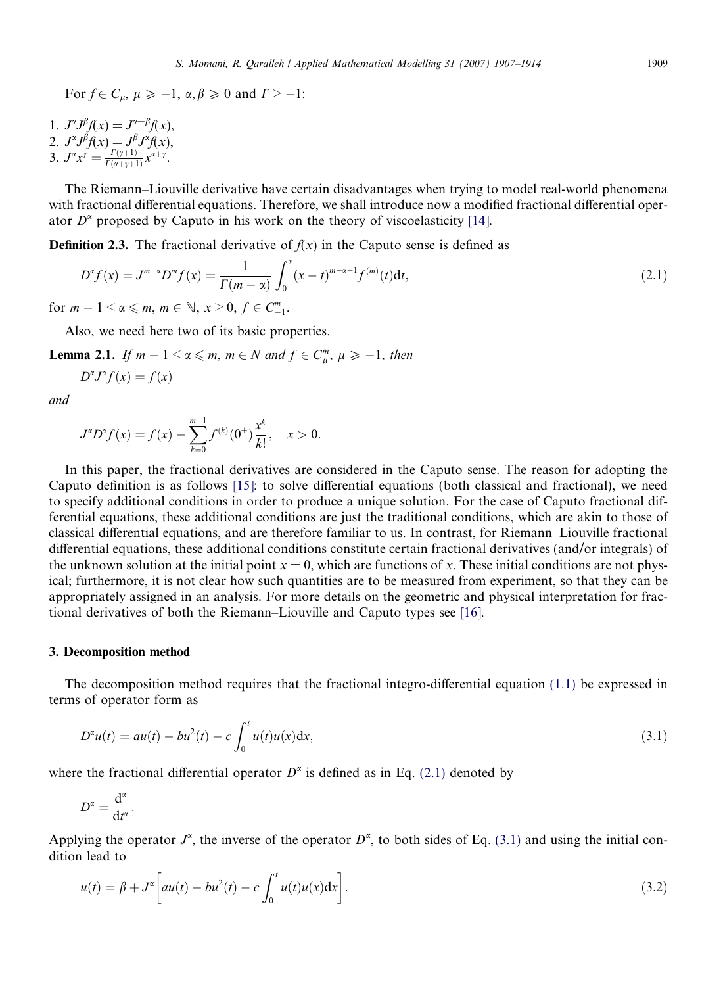For  $f \in C_{\mu}$ ,  $\mu \ge -1$ ,  $\alpha, \beta \ge 0$  and  $\Gamma > -1$ :

1.  $J^{\alpha}J^{\beta}f(x) = J^{\alpha+\beta}f(x),$ 2.  $J^{\alpha}J^{\beta}f(x) = J^{\beta}J^{\alpha}f(x),$ 3.  $J^{\alpha}x^{\gamma} = \frac{\Gamma(\gamma+1)}{\Gamma(\alpha+\gamma+1)}$  $\frac{\Gamma(\gamma+1)}{\Gamma(\alpha+\gamma+1)} x^{\alpha+\gamma}$ .

The Riemann–Liouville derivative have certain disadvantages when trying to model real-world phenomena with fractional differential equations. Therefore, we shall introduce now a modified fractional differential operator  $D^{\alpha}$  proposed by Caputo in his work on the theory of viscoelasticity [14].

**Definition 2.3.** The fractional derivative of  $f(x)$  in the Caputo sense is defined as

$$
D^{\alpha} f(x) = J^{m-\alpha} D^m f(x) = \frac{1}{\Gamma(m-\alpha)} \int_0^x (x-t)^{m-\alpha-1} f^{(m)}(t) dt,
$$
\n(2.1)

for  $m-1 < \alpha \leq m$ ,  $m \in \mathbb{N}$ ,  $x > 0$ ,  $f \in C_{-}^{m}$  $\frac{m}{-1}$ .

Also, we need here two of its basic properties.

**Lemma 2.1.** If  $m - 1 < \alpha \leq m$ ,  $m \in N$  and  $f \in C_{\mu}^{m}$ ,  $\mu \geq -1$ , then

$$
D^{\alpha}J^{\alpha}f(x) = f(x)
$$

and

$$
J^{\alpha}D^{\alpha}f(x) = f(x) - \sum_{k=0}^{m-1} f^{(k)}(0^+) \frac{x^k}{k!}, \quad x > 0.
$$

In this paper, the fractional derivatives are considered in the Caputo sense. The reason for adopting the Caputo definition is as follows [15]: to solve differential equations (both classical and fractional), we need to specify additional conditions in order to produce a unique solution. For the case of Caputo fractional differential equations, these additional conditions are just the traditional conditions, which are akin to those of classical differential equations, and are therefore familiar to us. In contrast, for Riemann–Liouville fractional differential equations, these additional conditions constitute certain fractional derivatives (and/or integrals) of the unknown solution at the initial point  $x = 0$ , which are functions of x. These initial conditions are not physical; furthermore, it is not clear how such quantities are to be measured from experiment, so that they can be appropriately assigned in an analysis. For more details on the geometric and physical interpretation for fractional derivatives of both the Riemann–Liouville and Caputo types see [16].

#### 3. Decomposition method

The decomposition method requires that the fractional integro-differential equation (1.1) be expressed in terms of operator form as

$$
D^{2}u(t) = au(t) - bu^{2}(t) - c \int_{0}^{t} u(t)u(x)dx,
$$
\n(3.1)

where the fractional differential operator  $D^{\alpha}$  is defined as in Eq. (2.1) denoted by

$$
D^{\alpha}=\frac{\mathrm{d}^{\alpha}}{\mathrm{d}t^{\alpha}}.
$$

Applying the operator  $J^{\alpha}$ , the inverse of the operator  $D^{\alpha}$ , to both sides of Eq. (3.1) and using the initial condition lead to

$$
u(t) = \beta + J^{\alpha} \left[ a u(t) - b u^2(t) - c \int_0^t u(t) u(x) dx \right].
$$
 (3.2)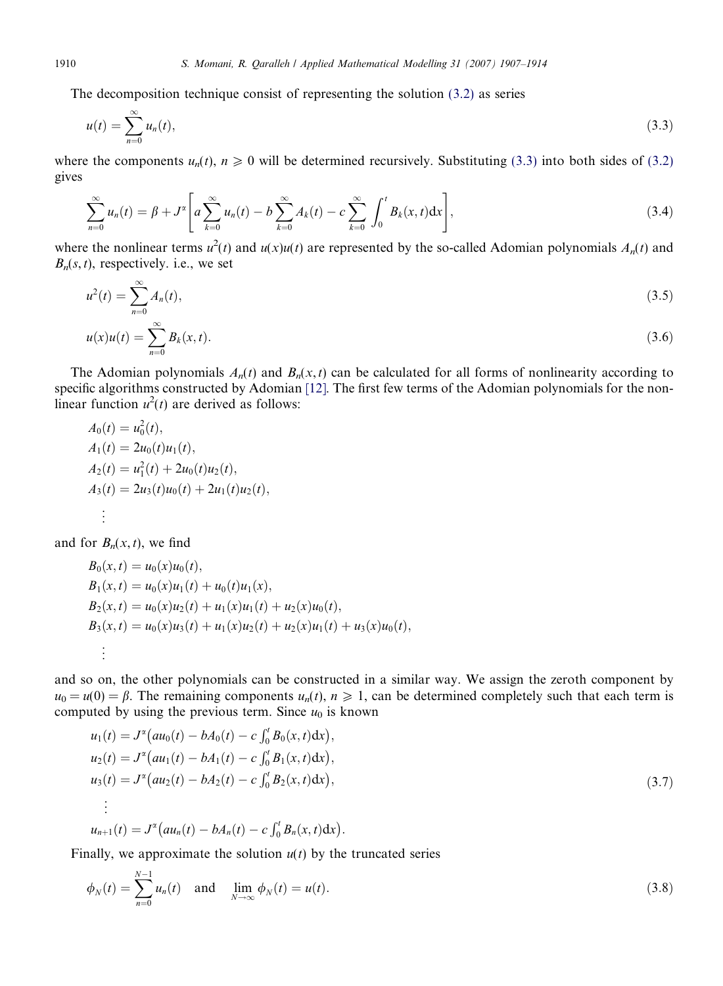The decomposition technique consist of representing the solution (3.2) as series

$$
u(t) = \sum_{n=0}^{\infty} u_n(t),
$$
\n(3.3)

where the components  $u_n(t)$ ,  $n \ge 0$  will be determined recursively. Substituting (3.3) into both sides of (3.2) gives

$$
\sum_{n=0}^{\infty} u_n(t) = \beta + J^{\alpha} \left[ a \sum_{k=0}^{\infty} u_n(t) - b \sum_{k=0}^{\infty} A_k(t) - c \sum_{k=0}^{\infty} \int_0^t B_k(x,t) dx \right],
$$
\n(3.4)

where the nonlinear terms  $u^2(t)$  and  $u(x)u(t)$  are represented by the so-called Adomian polynomials  $A_n(t)$  and  $B_n(s, t)$ , respectively. i.e., we set

$$
u^{2}(t) = \sum_{n=0}^{\infty} A_{n}(t),
$$
\n(3.5)

$$
u(x)u(t) = \sum_{n=0}^{\infty} B_k(x,t).
$$
 (3.6)

The Adomian polynomials  $A_n(t)$  and  $B_n(x,t)$  can be calculated for all forms of nonlinearity according to specific algorithms constructed by Adomian [12]. The first few terms of the Adomian polynomials for the nonlinear function  $u^2(t)$  are derived as follows:

$$
A_0(t) = u_0^2(t),
$$
  
\n
$$
A_1(t) = 2u_0(t)u_1(t),
$$
  
\n
$$
A_2(t) = u_1^2(t) + 2u_0(t)u_2(t),
$$
  
\n
$$
A_3(t) = 2u_3(t)u_0(t) + 2u_1(t)u_2(t),
$$
  
\n
$$
\vdots
$$

and for  $B_n(x, t)$ , we find

$$
B_0(x,t) = u_0(x)u_0(t),
$$
  
\n
$$
B_1(x,t) = u_0(x)u_1(t) + u_0(t)u_1(x),
$$
  
\n
$$
B_2(x,t) = u_0(x)u_2(t) + u_1(x)u_1(t) + u_2(x)u_0(t),
$$
  
\n
$$
B_3(x,t) = u_0(x)u_3(t) + u_1(x)u_2(t) + u_2(x)u_1(t) + u_3(x)u_0(t),
$$
  
\n
$$
\vdots
$$

and so on, the other polynomials can be constructed in a similar way. We assign the zeroth component by  $u_0 = u(0) = \beta$ . The remaining components  $u_n(t)$ ,  $n \ge 1$ , can be determined completely such that each term is computed by using the previous term. Since  $u_0$  is known

$$
u_1(t) = J^{\alpha}(au_0(t) - bA_0(t) - c \int_0^t B_0(x, t) dx),
$$
  
\n
$$
u_2(t) = J^{\alpha}(au_1(t) - bA_1(t) - c \int_0^t B_1(x, t) dx),
$$
  
\n
$$
u_3(t) = J^{\alpha}(au_2(t) - bA_2(t) - c \int_0^t B_2(x, t) dx),
$$
  
\n
$$
\vdots
$$
  
\n
$$
u_{n+1}(t) = J^{\alpha}(au_n(t) - bA_n(t) - c \int_0^t B_n(x, t) dx).
$$
\n(3.7)

Finally, we approximate the solution  $u(t)$  by the truncated series

$$
\phi_N(t) = \sum_{n=0}^{N-1} u_n(t)
$$
 and  $\lim_{N \to \infty} \phi_N(t) = u(t)$ . (3.8)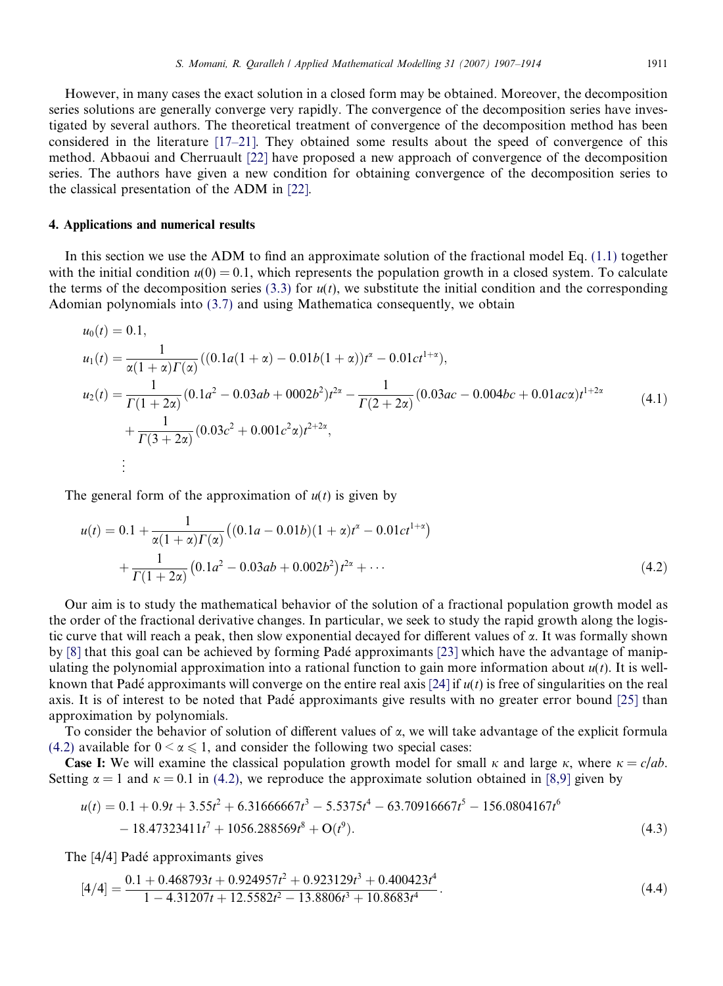However, in many cases the exact solution in a closed form may be obtained. Moreover, the decomposition series solutions are generally converge very rapidly. The convergence of the decomposition series have investigated by several authors. The theoretical treatment of convergence of the decomposition method has been considered in the literature [17–21]. They obtained some results about the speed of convergence of this method. Abbaoui and Cherruault [22] have proposed a new approach of convergence of the decomposition series. The authors have given a new condition for obtaining convergence of the decomposition series to the classical presentation of the ADM in [22].

#### 4. Applications and numerical results

In this section we use the ADM to find an approximate solution of the fractional model Eq. (1.1) together with the initial condition  $u(0) = 0.1$ , which represents the population growth in a closed system. To calculate the terms of the decomposition series (3.3) for  $u(t)$ , we substitute the initial condition and the corresponding Adomian polynomials into (3.7) and using Mathematica consequently, we obtain

$$
u_0(t) = 0.1,
$$
  
\n
$$
u_1(t) = \frac{1}{\alpha(1+\alpha)\Gamma(\alpha)}((0.1a(1+\alpha) - 0.01b(1+\alpha))t^{\alpha} - 0.01ct^{1+\alpha}),
$$
  
\n
$$
u_2(t) = \frac{1}{\Gamma(1+2\alpha)}(0.1a^2 - 0.03ab + 0002b^2)t^{\alpha} - \frac{1}{\Gamma(2+2\alpha)}(0.03ac - 0.004bc + 0.01ac\alpha)t^{1+2\alpha}
$$
  
\n
$$
+ \frac{1}{\Gamma(3+2\alpha)}(0.03c^2 + 0.001c^2\alpha)t^{2+2\alpha},
$$
  
\n
$$
\vdots
$$
 (4.1)

The general form of the approximation of  $u(t)$  is given by

$$
u(t) = 0.1 + \frac{1}{\alpha(1+\alpha)\Gamma(\alpha)} \left( (0.1a - 0.01b)(1+\alpha)t^{\alpha} - 0.01ct^{1+\alpha} \right) + \frac{1}{\Gamma(1+2\alpha)} \left( 0.1a^2 - 0.03ab + 0.002b^2 \right) t^{2\alpha} + \cdots
$$
(4.2)

Our aim is to study the mathematical behavior of the solution of a fractional population growth model as the order of the fractional derivative changes. In particular, we seek to study the rapid growth along the logistic curve that will reach a peak, then slow exponential decayed for different values of  $\alpha$ . It was formally shown by [8] that this goal can be achieved by forming Pade´ approximants [23] which have the advantage of manipulating the polynomial approximation into a rational function to gain more information about  $u(t)$ . It is wellknown that Padé approximants will converge on the entire real axis [24] if  $u(t)$  is free of singularities on the real axis. It is of interest to be noted that Pade´ approximants give results with no greater error bound [25] than approximation by polynomials.

To consider the behavior of solution of different values of  $\alpha$ , we will take advantage of the explicit formula (4.2) available for  $0 < \alpha \le 1$ , and consider the following two special cases:

**Case I:** We will examine the classical population growth model for small  $\kappa$  and large  $\kappa$ , where  $\kappa = c/db$ . Setting  $\alpha = 1$  and  $\kappa = 0.1$  in (4.2), we reproduce the approximate solution obtained in [8,9] given by

$$
u(t) = 0.1 + 0.9t + 3.55t^2 + 6.31666667t^3 - 5.5375t^4 - 63.70916667t^5 - 156.0804167t^6 - 18.47323411t^7 + 1056.288569t^8 + O(t^9).
$$
\n(4.3)

The [4/4] Padé approximants gives

$$
[4/4] = \frac{0.1 + 0.468793t + 0.924957t^2 + 0.923129t^3 + 0.400423t^4}{1 - 4.31207t + 12.5582t^2 - 13.8806t^3 + 10.8683t^4}.
$$
\n(4.4)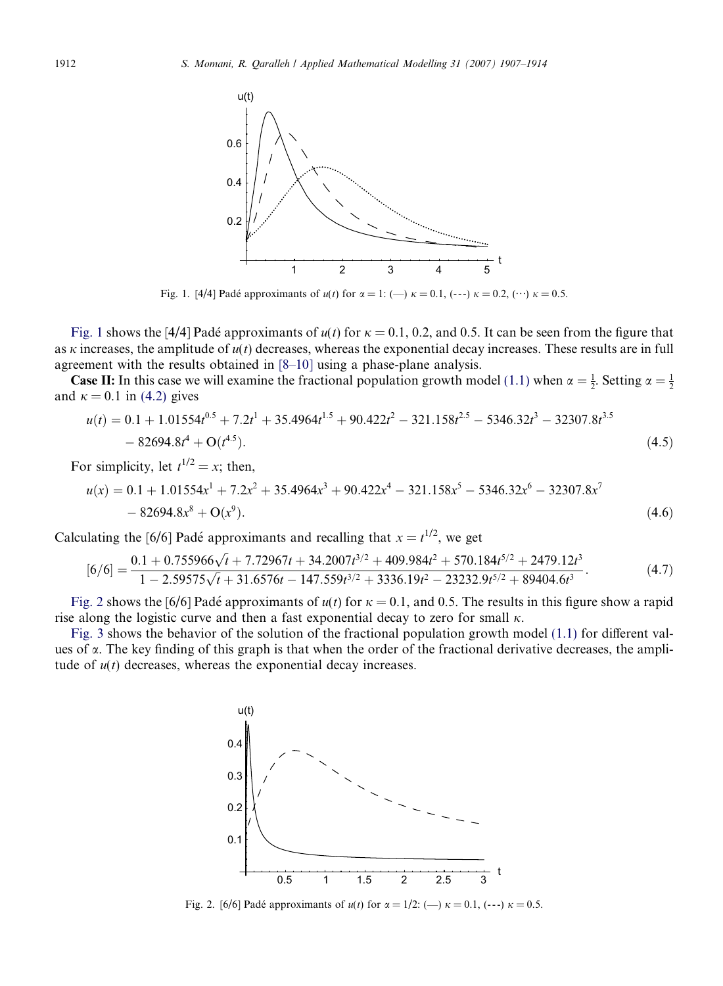

Fig. 1. [4/4] Padé approximants of  $u(t)$  for  $\alpha = 1$ : (--)  $\kappa = 0.1$ , (---)  $\kappa = 0.2$ , (…)  $\kappa = 0.5$ .

Fig. 1 shows the [4/4] Padé approximants of  $u(t)$  for  $\kappa = 0.1$ , 0.2, and 0.5. It can be seen from the figure that as  $\kappa$  increases, the amplitude of  $u(t)$  decreases, whereas the exponential decay increases. These results are in full agreement with the results obtained in [8–10] using a phase-plane analysis.

**Case II:** In this case we will examine the fractional population growth model (1.1) when  $\alpha = \frac{1}{2}$ . Setting  $\alpha = \frac{1}{2}$ and  $\kappa = 0.1$  in (4.2) gives

$$
u(t) = 0.1 + 1.01554t^{0.5} + 7.2t^1 + 35.4964t^{1.5} + 90.422t^2 - 321.158t^{2.5} - 5346.32t^3 - 32307.8t^{3.5} - 82694.8t^4 + O(t^{4.5}).
$$
\n(4.5)

For simplicity, let  $t^{1/2} = x$ ; then,

$$
u(x) = 0.1 + 1.01554x1 + 7.2x2 + 35.4964x3 + 90.422x4 - 321.158x5 - 5346.32x6 - 32307.8x7 - 82694.8x8 + O(x9).
$$
\n(4.6)

Calculating the [6/6] Padé approximants and recalling that  $x = t^{1/2}$ , we get

$$
[6/6] = \frac{0.1 + 0.755966\sqrt{t} + 7.72967t + 34.2007t^{3/2} + 409.984t^2 + 570.184t^{5/2} + 2479.12t^3}{1 - 2.59575\sqrt{t} + 31.6576t - 147.559t^{3/2} + 3336.19t^2 - 23232.9t^{5/2} + 89404.6t^3}.
$$
(4.7)

Fig. 2 shows the [6/6] Padé approximants of  $u(t)$  for  $\kappa = 0.1$ , and 0.5. The results in this figure show a rapid rise along the logistic curve and then a fast exponential decay to zero for small  $\kappa$ .

Fig. 3 shows the behavior of the solution of the fractional population growth model (1.1) for different values of  $\alpha$ . The key finding of this graph is that when the order of the fractional derivative decreases, the amplitude of  $u(t)$  decreases, whereas the exponential decay increases.



Fig. 2. [6/6] Padé approximants of  $u(t)$  for  $\alpha = 1/2$ : (--)  $\kappa = 0.1$ , (---)  $\kappa = 0.5$ .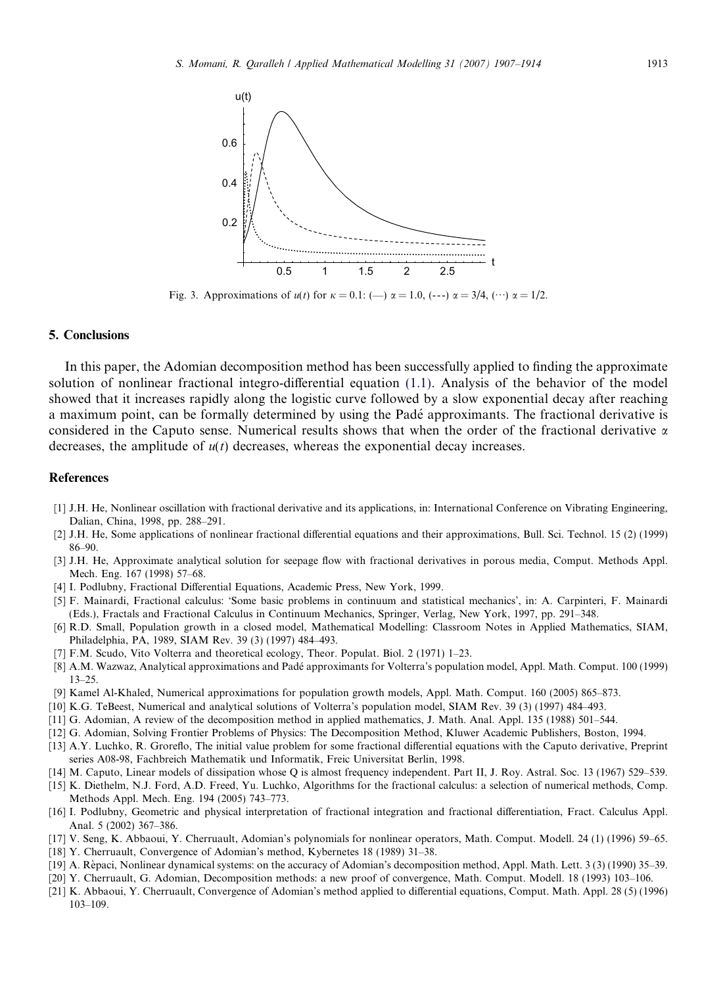

Fig. 3. Approximations of  $u(t)$  for  $\kappa = 0.1$ : (--)  $\alpha = 1.0$ , (---)  $\alpha = 3/4$ , (…)  $\alpha = 1/2$ .

#### 5. Conclusions

In this paper, the Adomian decomposition method has been successfully applied to finding the approximate solution of nonlinear fractional integro-differential equation (1.1). Analysis of the behavior of the model showed that it increases rapidly along the logistic curve followed by a slow exponential decay after reaching a maximum point, can be formally determined by using the Pade´ approximants. The fractional derivative is considered in the Caputo sense. Numerical results shows that when the order of the fractional derivative  $\alpha$ decreases, the amplitude of  $u(t)$  decreases, whereas the exponential decay increases.

#### References

- [1] J.H. He, Nonlinear oscillation with fractional derivative and its applications, in: International Conference on Vibrating Engineering, Dalian, China, 1998, pp. 288–291.
- [2] J.H. He, Some applications of nonlinear fractional differential equations and their approximations, Bull. Sci. Technol. 15 (2) (1999) 86–90.
- [3] J.H. He, Approximate analytical solution for seepage flow with fractional derivatives in porous media, Comput. Methods Appl. Mech. Eng. 167 (1998) 57–68.
- [4] I. Podlubny, Fractional Differential Equations, Academic Press, New York, 1999.
- [5] F. Mainardi, Fractional calculus: 'Some basic problems in continuum and statistical mechanics', in: A. Carpinteri, F. Mainardi (Eds.), Fractals and Fractional Calculus in Continuum Mechanics, Springer, Verlag, New York, 1997, pp. 291–348.
- [6] R.D. Small, Population growth in a closed model, Mathematical Modelling: Classroom Notes in Applied Mathematics, SIAM, Philadelphia, PA, 1989, SIAM Rev. 39 (3) (1997) 484–493.
- [7] F.M. Scudo, Vito Volterra and theoretical ecology, Theor. Populat. Biol. 2 (1971) 1–23.
- [8] A.M. Wazwaz, Analytical approximations and Pade´ approximants for Volterra's population model, Appl. Math. Comput. 100 (1999) 13–25.
- [9] Kamel Al-Khaled, Numerical approximations for population growth models, Appl. Math. Comput. 160 (2005) 865–873.
- [10] K.G. TeBeest, Numerical and analytical solutions of Volterra's population model, SIAM Rev. 39 (3) (1997) 484–493.
- [11] G. Adomian, A review of the decomposition method in applied mathematics, J. Math. Anal. Appl. 135 (1988) 501–544.
- [12] G. Adomian, Solving Frontier Problems of Physics: The Decomposition Method, Kluwer Academic Publishers, Boston, 1994.
- [13] A.Y. Luchko, R. Groreflo, The initial value problem for some fractional differential equations with the Caputo derivative, Preprint series A08-98, Fachbreich Mathematik und Informatik, Freic Universitat Berlin, 1998.
- [14] M. Caputo, Linear models of dissipation whose Q is almost frequency independent. Part II, J. Roy. Astral. Soc. 13 (1967) 529–539.
- [15] K. Diethelm, N.J. Ford, A.D. Freed, Yu. Luchko, Algorithms for the fractional calculus: a selection of numerical methods, Comp. Methods Appl. Mech. Eng. 194 (2005) 743–773.
- [16] I. Podlubny, Geometric and physical interpretation of fractional integration and fractional differentiation, Fract. Calculus Appl. Anal. 5 (2002) 367–386.
- [17] V. Seng, K. Abbaoui, Y. Cherruault, Adomian's polynomials for nonlinear operators, Math. Comput. Modell. 24 (1) (1996) 59–65.
- [18] Y. Cherruault, Convergence of Adomian's method, Kybernetes 18 (1989) 31–38.
- [19] A. Rèpaci, Nonlinear dynamical systems: on the accuracy of Adomian's decomposition method, Appl. Math. Lett. 3 (3) (1990) 35–39.
- [20] Y. Cherruault, G. Adomian, Decomposition methods: a new proof of convergence, Math. Comput. Modell. 18 (1993) 103–106.
- [21] K. Abbaoui, Y. Cherruault, Convergence of Adomian's method applied to differential equations, Comput. Math. Appl. 28 (5) (1996) 103–109.